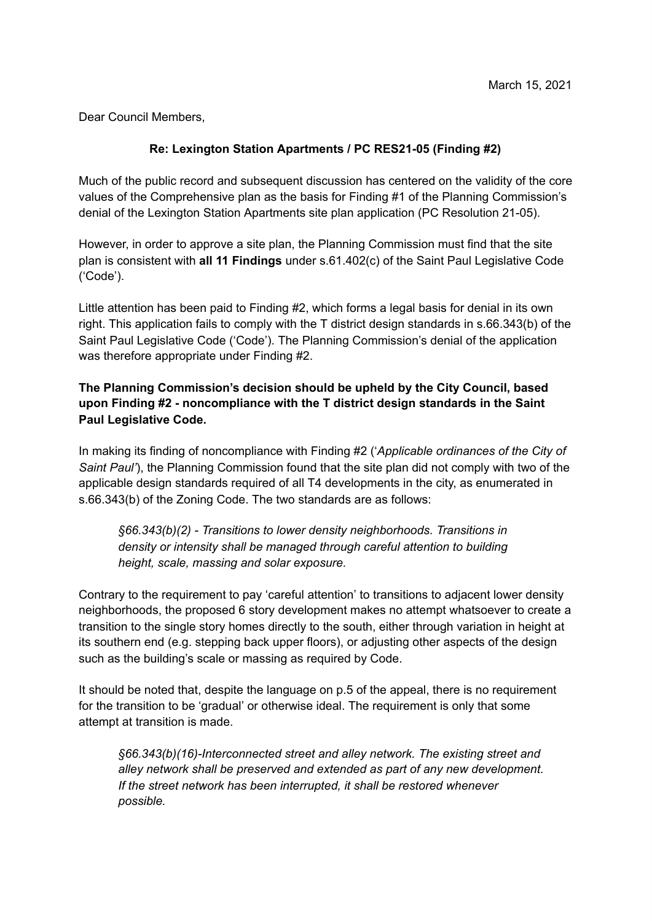Dear Council Members,

## **Re: Lexington Station Apartments / PC RES21-05 (Finding #2)**

Much of the public record and subsequent discussion has centered on the validity of the core values of the Comprehensive plan as the basis for Finding #1 of the Planning Commission's denial of the Lexington Station Apartments site plan application (PC Resolution 21-05).

However, in order to approve a site plan, the Planning Commission must find that the site plan is consistent with **all 11 Findings** under s.61.402(c) of the Saint Paul Legislative Code ('Code').

Little attention has been paid to Finding #2, which forms a legal basis for denial in its own right. This application fails to comply with the T district design standards in s.66.343(b) of the Saint Paul Legislative Code ('Code'). The Planning Commission's denial of the application was therefore appropriate under Finding #2.

## **The Planning Commission's decision should be upheld by the City Council, based upon Finding #2 - noncompliance with the T district design standards in the Saint Paul Legislative Code.**

In making its finding of noncompliance with Finding #2 ('*Applicable ordinances of the City of Saint Paul'*), the Planning Commission found that the site plan did not comply with two of the applicable design standards required of all T4 developments in the city, as enumerated in s.66.343(b) of the Zoning Code. The two standards are as follows:

*§66.343(b)(2) - Transitions to lower density neighborhoods. Transitions in density or intensity shall be managed through careful attention to building height, scale, massing and solar exposure.*

Contrary to the requirement to pay 'careful attention' to transitions to adjacent lower density neighborhoods, the proposed 6 story development makes no attempt whatsoever to create a transition to the single story homes directly to the south, either through variation in height at its southern end (e.g. stepping back upper floors), or adjusting other aspects of the design such as the building's scale or massing as required by Code.

It should be noted that, despite the language on p.5 of the appeal, there is no requirement for the transition to be 'gradual' or otherwise ideal. The requirement is only that some attempt at transition is made.

*§66.343(b)(16)-Interconnected street and alley network. The existing street and alley network shall be preserved and extended as part of any new development. If the street network has been interrupted, it shall be restored whenever possible.*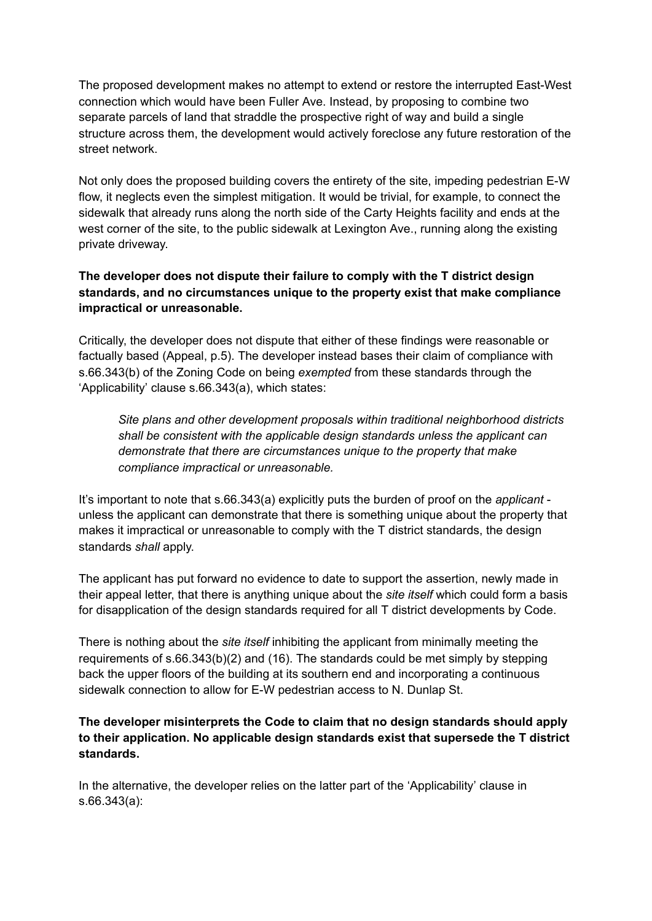The proposed development makes no attempt to extend or restore the interrupted East-West connection which would have been Fuller Ave. Instead, by proposing to combine two separate parcels of land that straddle the prospective right of way and build a single structure across them, the development would actively foreclose any future restoration of the street network.

Not only does the proposed building covers the entirety of the site, impeding pedestrian E-W flow, it neglects even the simplest mitigation. It would be trivial, for example, to connect the sidewalk that already runs along the north side of the Carty Heights facility and ends at the west corner of the site, to the public sidewalk at Lexington Ave., running along the existing private driveway.

## **The developer does not dispute their failure to comply with the T district design standards, and no circumstances unique to the property exist that make compliance impractical or unreasonable.**

Critically, the developer does not dispute that either of these findings were reasonable or factually based (Appeal, p.5). The developer instead bases their claim of compliance with s.66.343(b) of the Zoning Code on being *exempted* from these standards through the 'Applicability' clause s.66.343(a), which states:

*Site plans and other development proposals within traditional neighborhood districts shall be consistent with the applicable design standards unless the applicant can demonstrate that there are circumstances unique to the property that make compliance impractical or unreasonable.*

It's important to note that s.66.343(a) explicitly puts the burden of proof on the *applicant* unless the applicant can demonstrate that there is something unique about the property that makes it impractical or unreasonable to comply with the T district standards, the design standards *shall* apply.

The applicant has put forward no evidence to date to support the assertion, newly made in their appeal letter, that there is anything unique about the *site itself* which could form a basis for disapplication of the design standards required for all T district developments by Code.

There is nothing about the *site itself* inhibiting the applicant from minimally meeting the requirements of s.66.343(b)(2) and (16). The standards could be met simply by stepping back the upper floors of the building at its southern end and incorporating a continuous sidewalk connection to allow for E-W pedestrian access to N. Dunlap St.

**The developer misinterprets the Code to claim that no design standards should apply to their application. No applicable design standards exist that supersede the T district standards.**

In the alternative, the developer relies on the latter part of the 'Applicability' clause in s.66.343(a):